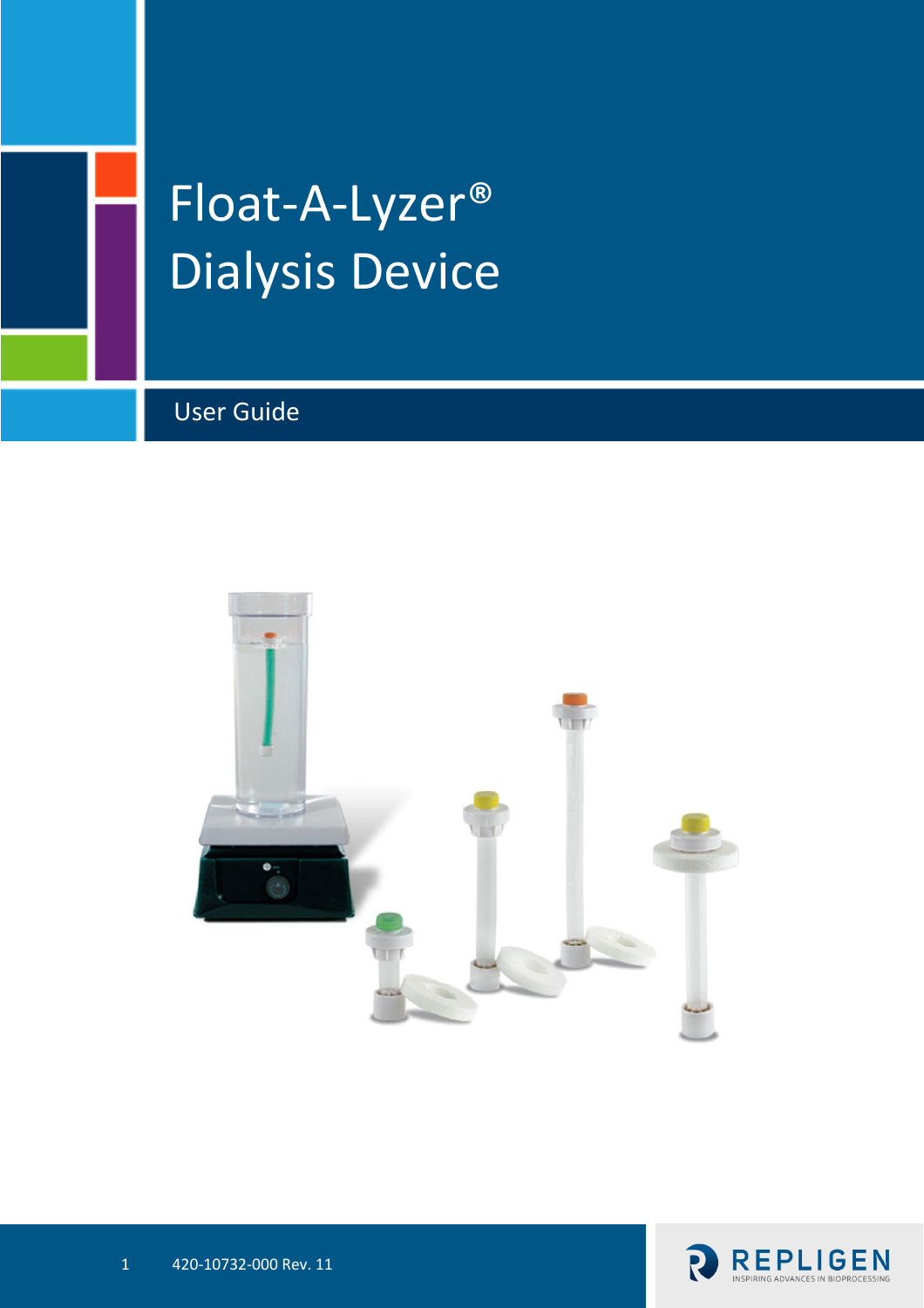

# Float-A-Lyzer® Dialysis Device

User Guide



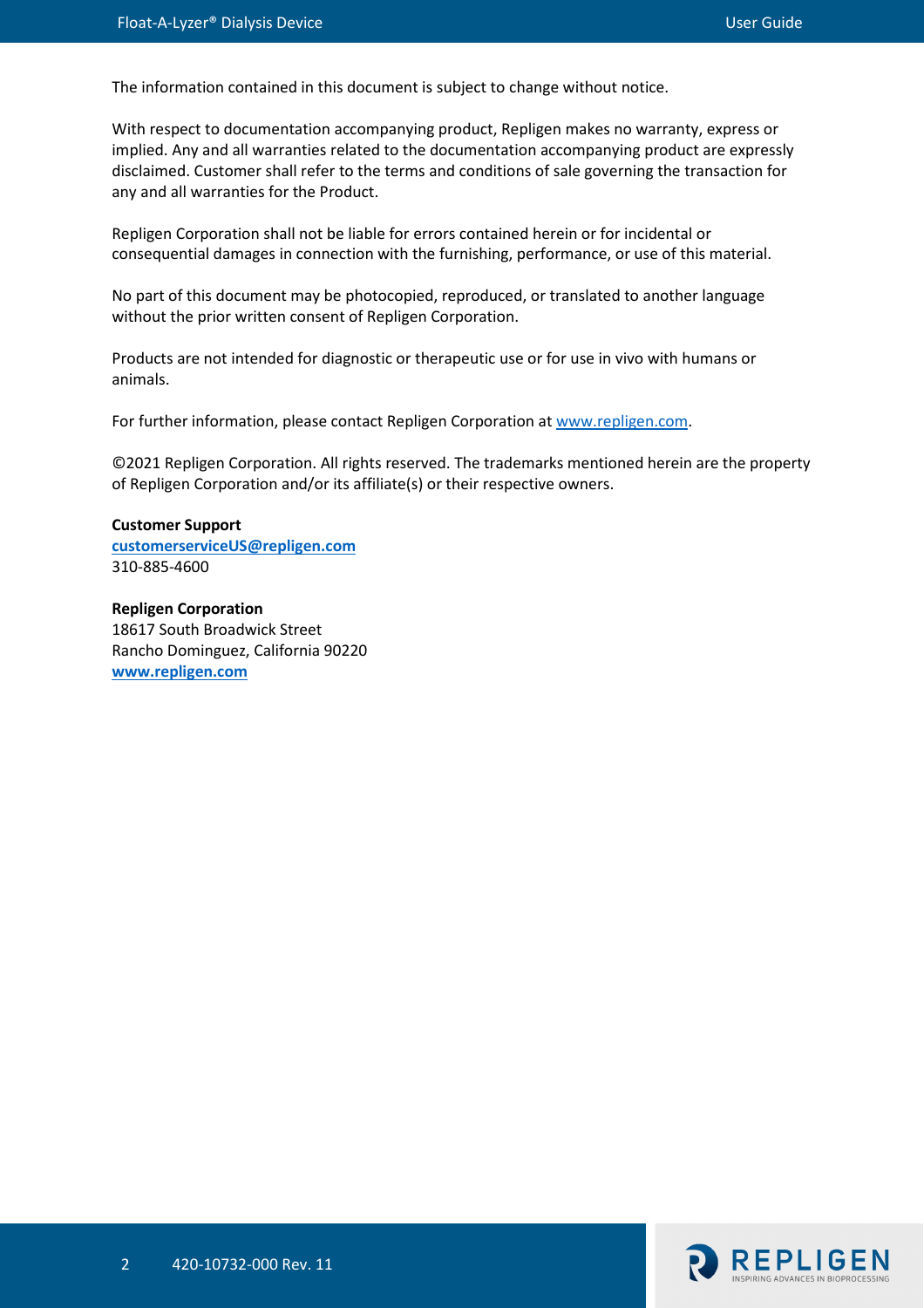The information contained in this document is subject to change without notice.

With respect to documentation accompanying product, Repligen makes no warranty, express or implied. Any and all warranties related to the documentation accompanying product are expressly disclaimed. Customer shall refer to the terms and conditions of sale governing the transaction for any and all warranties for the Product.

Repligen Corporation shall not be liable for errors contained herein or for incidental or consequential damages in connection with the furnishing, performance, or use of this material.

No part of this document may be photocopied, reproduced, or translated to another language without the prior written consent of Repligen Corporation.

Products are not intended for diagnostic or therapeutic use or for use in vivo with humans or animals.

For further information, please contact Repligen Corporation at [www.repligen.com.](http://www.repligen.com/)

©2021 Repligen Corporation. All rights reserved. The trademarks mentioned herein are the property of Repligen Corporation and/or its affiliate(s) or their respective owners.

#### **Customer Support [customerserviceUS@repligen.com](mailto:customerserviceUS@repligen.com)** 310-885-4600

**Repligen Corporation** 18617 South Broadwick Street Rancho Dominguez, California 90220 **www.repligen.com**

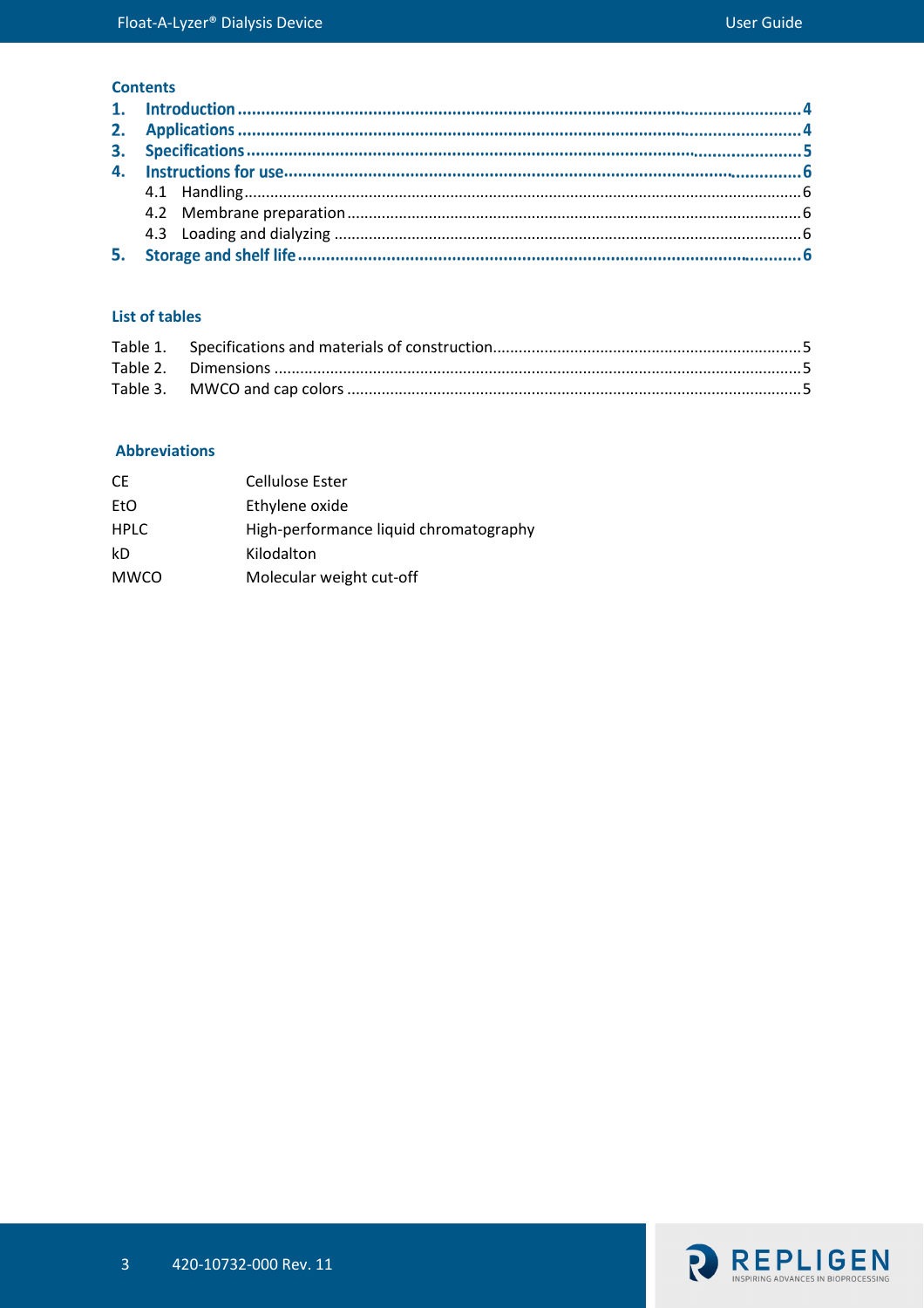#### **Contents**

## **List of tables**

#### **Abbreviations**

| СE   | Cellulose Ester                        |
|------|----------------------------------------|
| EtO  | Ethylene oxide                         |
| HPLC | High-performance liquid chromatography |
| kD   | Kilodalton                             |
| MWCO | Molecular weight cut-off               |
|      |                                        |

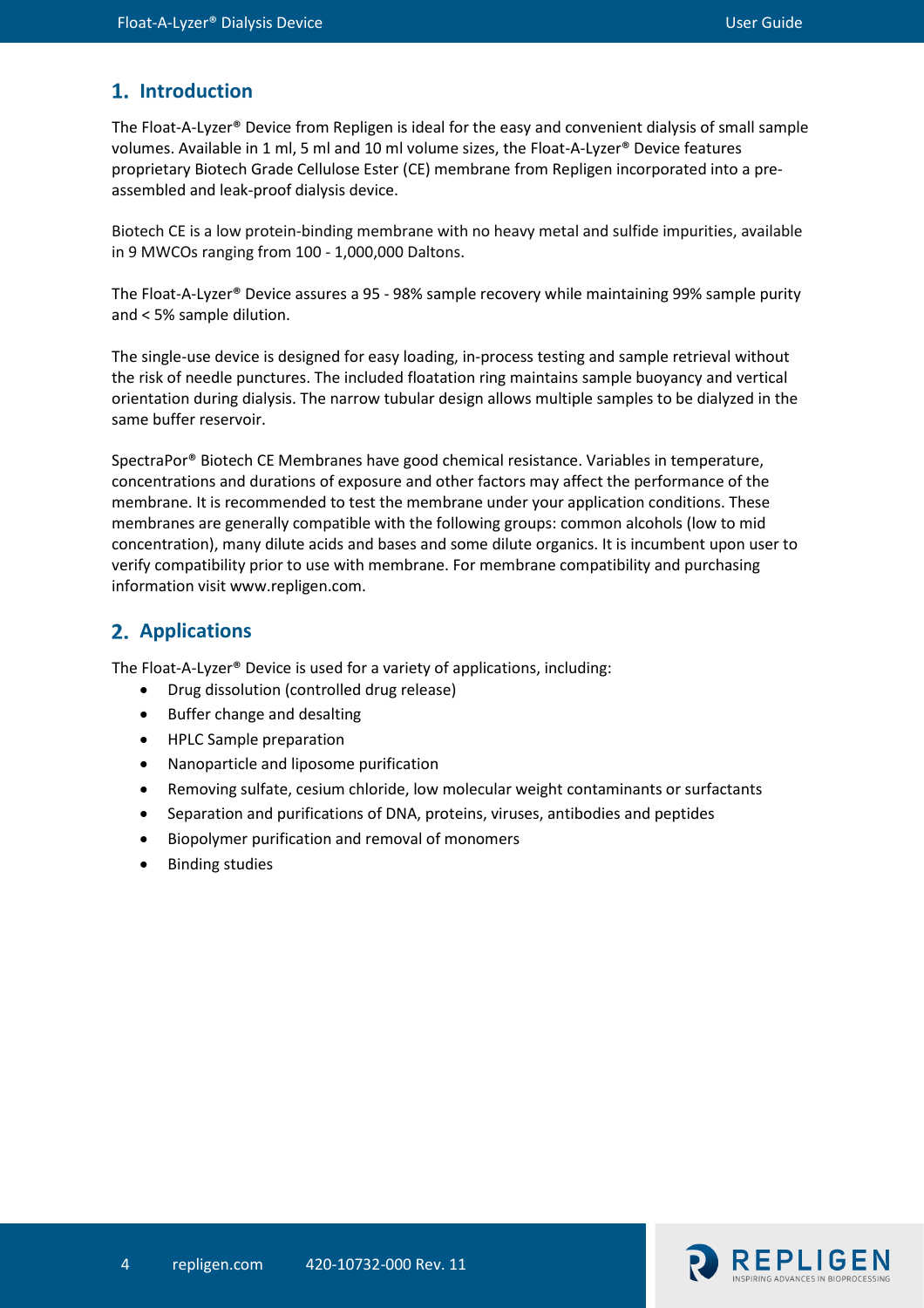# 1. Introduction

The Float-A-Lyzer® Device from Repligen is ideal for the easy and convenient dialysis of small sample volumes. Available in 1 ml, 5 ml and 10 ml volume sizes, the Float-A-Lyzer® Device features proprietary Biotech Grade Cellulose Ester (CE) membrane from Repligen incorporated into a preassembled and leak-proof dialysis device.

Biotech CE is a low protein-binding membrane with no heavy metal and sulfide impurities, available in 9 MWCOs ranging from 100 - 1,000,000 Daltons.

The Float-A-Lyzer® Device assures a 95 - 98% sample recovery while maintaining 99% sample purity and < 5% sample dilution.

The single-use device is designed for easy loading, in-process testing and sample retrieval without the risk of needle punctures. The included floatation ring maintains sample buoyancy and vertical orientation during dialysis. The narrow tubular design allows multiple samples to be dialyzed in the same buffer reservoir.

SpectraPor® Biotech CE Membranes have good chemical resistance. Variables in temperature, concentrations and durations of exposure and other factors may affect the performance of the membrane. It is recommended to test the membrane under your application conditions. These membranes are generally compatible with the following groups: common alcohols (low to mid concentration), many dilute acids and bases and some dilute organics. It is incumbent upon user to verify compatibility prior to use with membrane. For membrane compatibility and purchasing information visit www.repligen.com.

# **Applications**

The Float-A-Lyzer® Device is used for a variety of applications, including:

- Drug dissolution (controlled drug release)
- Buffer change and desalting
- HPLC Sample preparation
- Nanoparticle and liposome purification
- Removing sulfate, cesium chloride, low molecular weight contaminants or surfactants
- Separation and purifications of DNA, proteins, viruses, antibodies and peptides
- Biopolymer purification and removal of monomers
- Binding studies

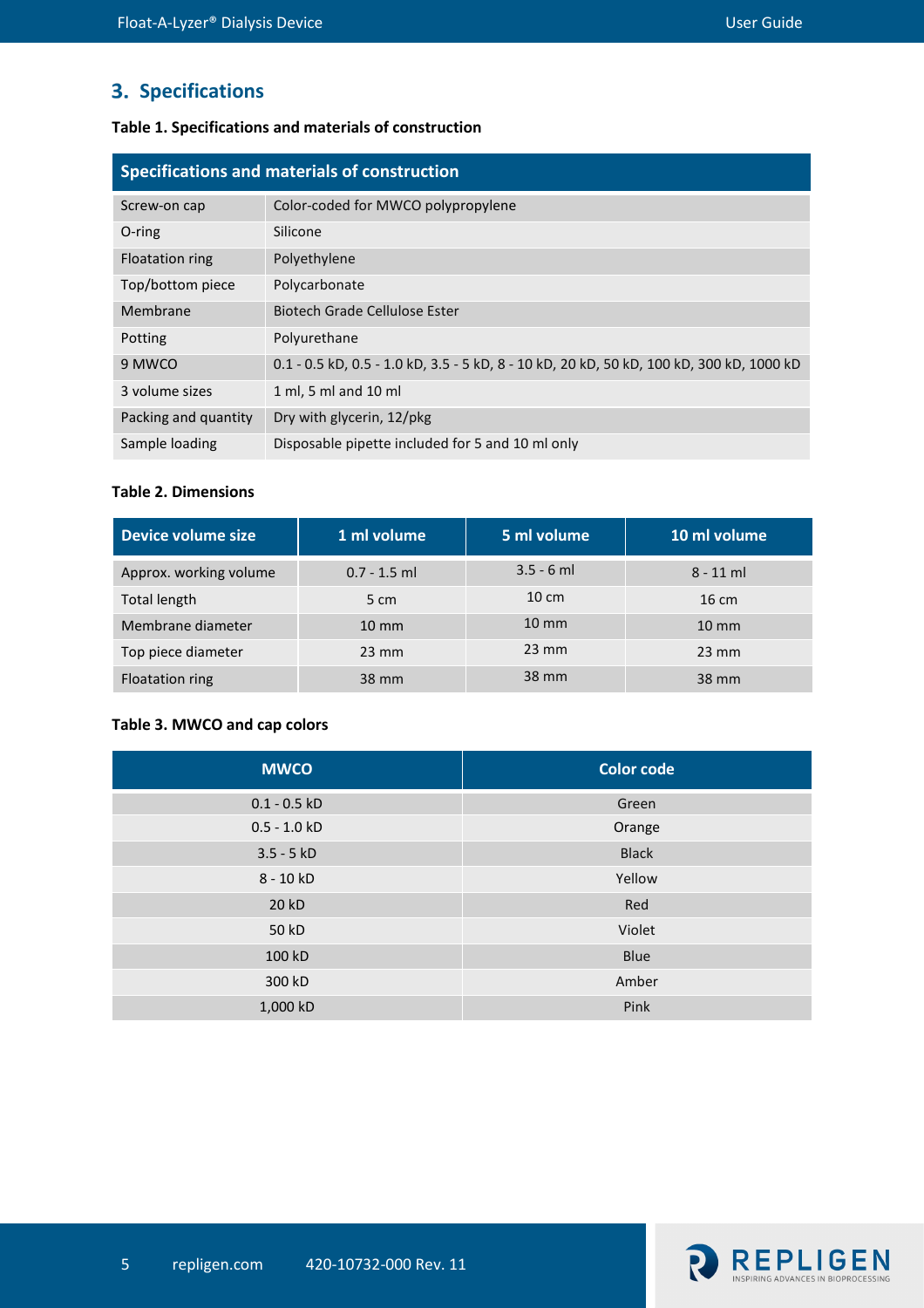# **3. Specifications**

## <span id="page-4-0"></span>**Table 1. Specifications and materials of construction**

| Specifications and materials of construction |                                                                                          |  |  |
|----------------------------------------------|------------------------------------------------------------------------------------------|--|--|
| Screw-on cap                                 | Color-coded for MWCO polypropylene                                                       |  |  |
| O-ring                                       | Silicone                                                                                 |  |  |
| Floatation ring                              | Polyethylene                                                                             |  |  |
| Top/bottom piece                             | Polycarbonate                                                                            |  |  |
| Membrane                                     | Biotech Grade Cellulose Ester                                                            |  |  |
| Potting                                      | Polyurethane                                                                             |  |  |
| 9 MWCO                                       | 0.1 - 0.5 kD, 0.5 - 1.0 kD, 3.5 - 5 kD, 8 - 10 kD, 20 kD, 50 kD, 100 kD, 300 kD, 1000 kD |  |  |
| 3 volume sizes                               | 1 ml, 5 ml and 10 ml                                                                     |  |  |
| Packing and quantity                         | Dry with glycerin, 12/pkg                                                                |  |  |
| Sample loading                               | Disposable pipette included for 5 and 10 ml only                                         |  |  |

#### <span id="page-4-1"></span>**Table 2. Dimensions**

| Device volume size     | 1 ml volume     | 5 ml volume     | 10 ml volume    |
|------------------------|-----------------|-----------------|-----------------|
| Approx. working volume | $0.7 - 1.5$ ml  | $3.5 - 6$ ml    | $8 - 11$ ml     |
| <b>Total length</b>    | 5 cm            | $10 \text{ cm}$ | $16 \text{ cm}$ |
| Membrane diameter      | $10 \text{ mm}$ | $10 \text{ mm}$ | $10 \text{ mm}$ |
| Top piece diameter     | $23 \text{ mm}$ | $23 \text{ mm}$ | $23 \text{ mm}$ |
| Floatation ring        | 38 mm           | 38 mm           | 38 mm           |

## <span id="page-4-2"></span>**Table 3. MWCO and cap colors**

| <b>MWCO</b>    | <b>Color code</b> |
|----------------|-------------------|
| $0.1 - 0.5$ kD | Green             |
| $0.5 - 1.0 kD$ | Orange            |
| $3.5 - 5 kD$   | <b>Black</b>      |
| 8 - 10 kD      | Yellow            |
| 20 kD          | Red               |
| 50 kD          | Violet            |
| 100 kD         | Blue              |
| 300 kD         | Amber             |
| 1,000 kD       | Pink              |

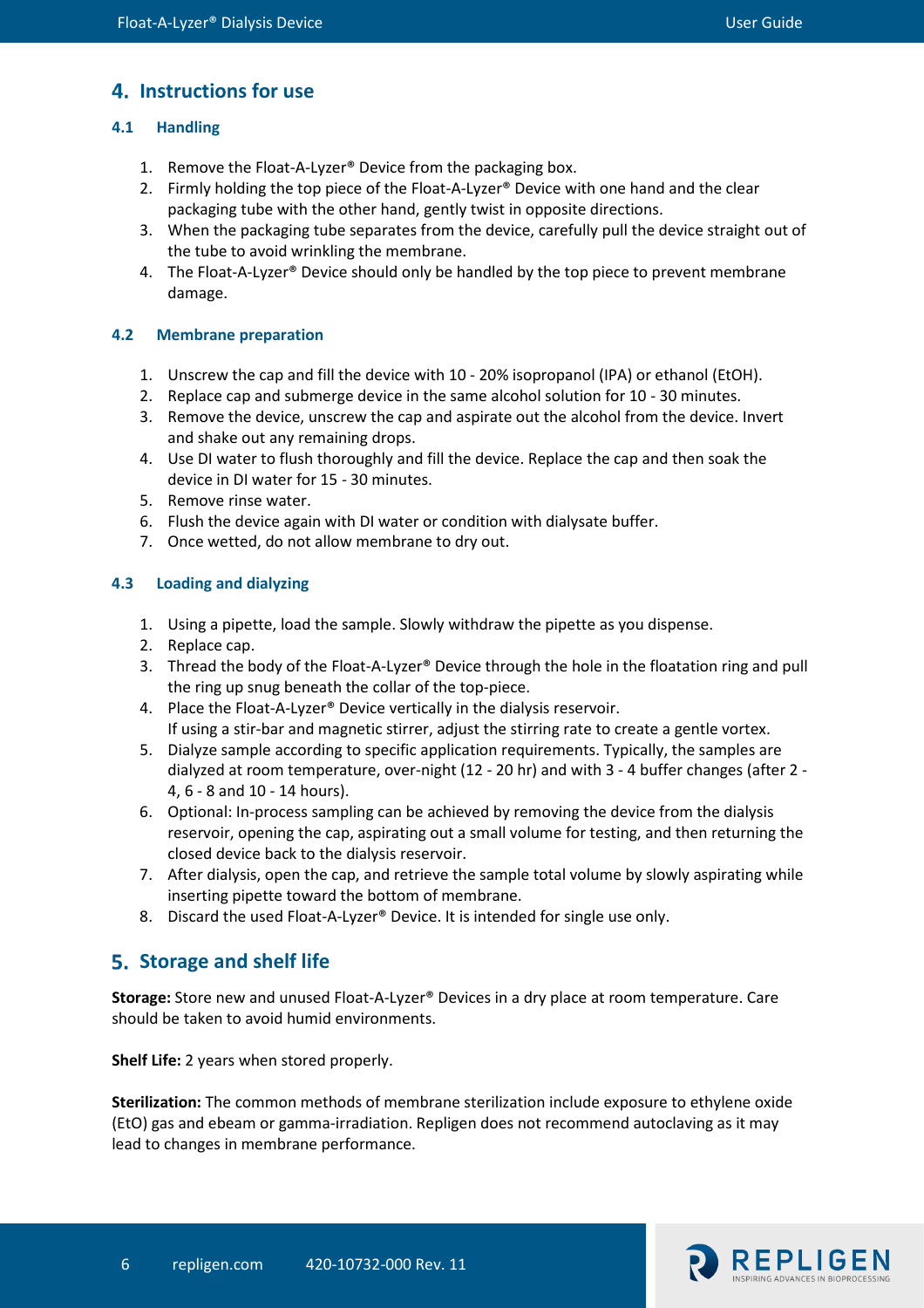# **Instructions for use**

# <span id="page-5-0"></span>**4.1 Handling**

- 1. Remove the Float-A-Lyzer® Device from the packaging box.
- 2. Firmly holding the top piece of the Float-A-Lyzer® Device with one hand and the clear packaging tube with the other hand, gently twist in opposite directions.
- 3. When the packaging tube separates from the device, carefully pull the device straight out of the tube to avoid wrinkling the membrane.
- 4. The Float-A-Lyzer® Device should only be handled by the top piece to prevent membrane damage.

# <span id="page-5-1"></span>**4.2 Membrane preparation**

- 1. Unscrew the cap and fill the device with 10 20% isopropanol (IPA) or ethanol (EtOH).
- 2. Replace cap and submerge device in the same alcohol solution for 10 30 minutes.
- 3. Remove the device, unscrew the cap and aspirate out the alcohol from the device. Invert and shake out any remaining drops.
- 4. Use DI water to flush thoroughly and fill the device. Replace the cap and then soak the device in DI water for 15 - 30 minutes.
- 5. Remove rinse water.
- 6. Flush the device again with DI water or condition with dialysate buffer.
- 7. Once wetted, do not allow membrane to dry out.

# <span id="page-5-2"></span>**4.3 Loading and dialyzing**

- 1. Using a pipette, load the sample. Slowly withdraw the pipette as you dispense.
- 2. Replace cap.
- 3. Thread the body of the Float-A-Lyzer® Device through the hole in the floatation ring and pull the ring up snug beneath the collar of the top-piece.
- 4. Place the Float-A-Lyzer® Device vertically in the dialysis reservoir. If using a stir-bar and magnetic stirrer, adjust the stirring rate to create a gentle vortex.
- 5. Dialyze sample according to specific application requirements. Typically, the samples are dialyzed at room temperature, over-night (12 - 20 hr) and with 3 - 4 buffer changes (after 2 - 4, 6 - 8 and 10 - 14 hours).
- 6. Optional: In-process sampling can be achieved by removing the device from the dialysis reservoir, opening the cap, aspirating out a small volume for testing, and then returning the closed device back to the dialysis reservoir.
- 7. After dialysis, open the cap, and retrieve the sample total volume by slowly aspirating while inserting pipette toward the bottom of membrane.
- 8. Discard the used Float-A-Lyzer® Device. It is intended for single use only.

# **Storage and shelf life**

**Storage:** Store new and unused Float-A-Lyzer® Devices in a dry place at room temperature. Care should be taken to avoid humid environments.

**Shelf Life:** 2 years when stored properly.

**Sterilization:** The common methods of membrane sterilization include exposure to ethylene oxide (EtO) gas and ebeam or gamma-irradiation. Repligen does not recommend autoclaving as it may lead to changes in membrane performance.